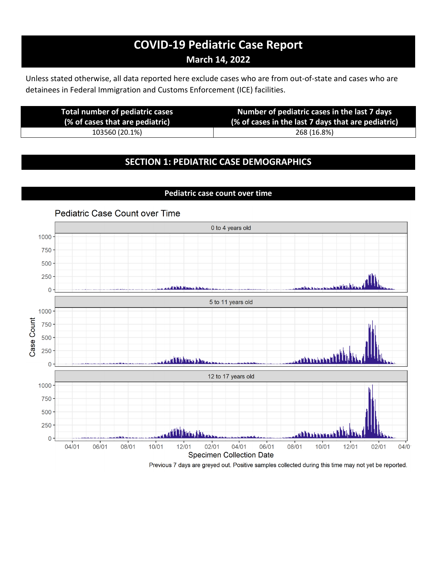# **COVID-19 Pediatric Case Report March 14, 2022**

Unless stated otherwise, all data reported here exclude cases who are from out-of-state and cases who are detainees in Federal Immigration and Customs Enforcement (ICE) facilities.

| <b>Total number of pediatric cases</b><br>(% of cases that are pediatric) | Number of pediatric cases in the last 7 days<br>(% of cases in the last 7 days that are pediatric) |
|---------------------------------------------------------------------------|----------------------------------------------------------------------------------------------------|
| 103560 (20.1%)                                                            | 268 (16.8%)                                                                                        |
|                                                                           |                                                                                                    |

### **SECTION 1: PEDIATRIC CASE DEMOGRAPHICS**

**Pediatric case count over time**

#### **Pediatric Case Count over Time** 0 to 4 years old 1000 750 500 250  $\mathbf 0$ 5 to 11 years old 1000 Case Count 750 500 250 di iki kitata l  $\mathbf 0$ 12 to 17 years old 1000 750 500 250 فيطعنا الاللاق  $\pmb{0}$ 06/01  $10/01$  $12/01$  $02/01$  $04/01$ 06/01 08/01  $12/01$  $02/01$ 04/01 08/01 10/01  $04/0$ **Specimen Collection Date**

Previous 7 days are greyed out. Positive samples collected during this time may not yet be reported.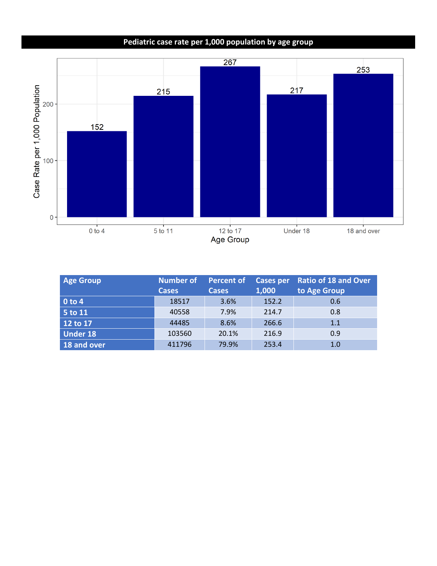## **Pediatric case rate per 1,000 population by age group**



| <b>Age Group</b> | <b>Number of</b> | <b>Percent of</b> | <b>Cases per</b> | <b>Ratio of 18 and Over</b> |
|------------------|------------------|-------------------|------------------|-----------------------------|
|                  | <b>Cases</b>     | <b>Cases</b>      | 1,000            | to Age Group                |
| $0$ to 4         | 18517            | 3.6%              | 152.2            | 0.6                         |
| 5 to 11          | 40558            | 7.9%              | 214.7            | 0.8                         |
| 12 to 17         | 44485            | 8.6%              | 266.6            | 1.1                         |
| <b>Under 18</b>  | 103560           | 20.1%             | 216.9            | 0.9                         |
| 18 and over      | 411796           | 79.9%             | 253.4            | 1.0                         |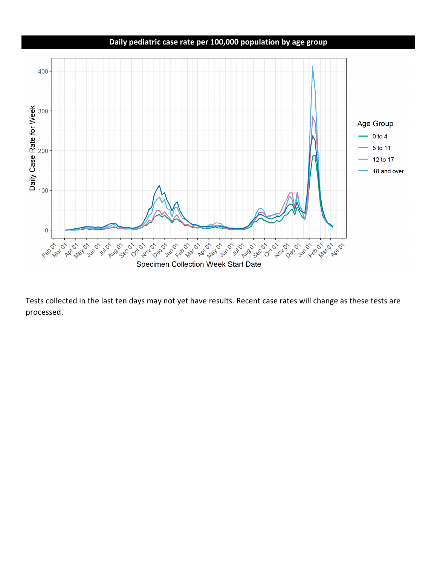### **Daily pediatric case rate per 100,000 population by age group**



Tests collected in the last ten days may not yet have results. Recent case rates will change as these tests are processed.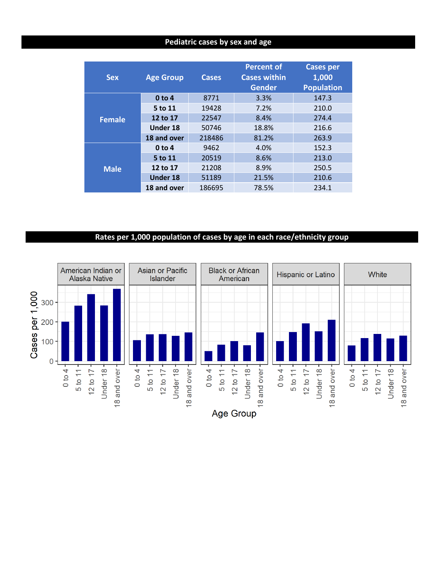#### **Pediatric cases by sex and age**

| <b>Sex</b>    | <b>Age Group</b>  | <b>Cases</b> | <b>Percent of</b><br><b>Cases within</b><br>Gender | <b>Cases per</b><br>1,000<br><b>Population</b> |
|---------------|-------------------|--------------|----------------------------------------------------|------------------------------------------------|
|               | 0 <sub>to 4</sub> | 8771         | 3.3%                                               | 147.3                                          |
|               | 5 to 11           | 19428        | 7.2%                                               | 210.0                                          |
| <b>Female</b> | 12 to 17          | 22547        | 8.4%                                               | 274.4                                          |
|               | <b>Under 18</b>   | 50746        | 18.8%                                              | 216.6                                          |
|               | 18 and over       | 218486       | 81.2%                                              | 263.9                                          |
| <b>Male</b>   | 0 <sub>to 4</sub> | 9462         | 4.0%                                               | 152.3                                          |
|               | 5 to 11           | 20519        | 8.6%                                               | 213.0                                          |
|               | 12 to 17          | 21208        | 8.9%                                               | 250.5                                          |
|               | <b>Under 18</b>   | 51189        | 21.5%                                              | 210.6                                          |
|               | 18 and over       | 186695       | 78.5%                                              | 234.1                                          |

### **Rates per 1,000 population of cases by age in each race/ethnicity group**

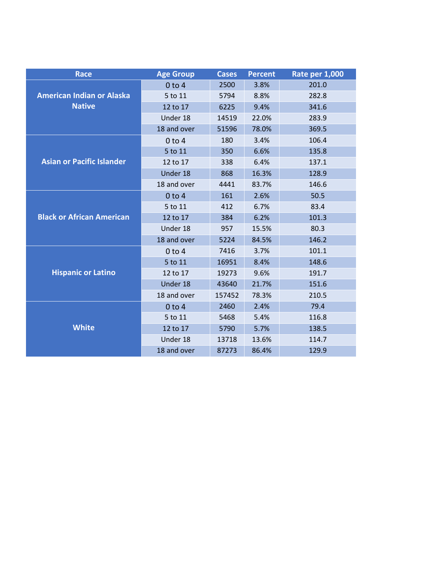| <b>Race</b>                      | <b>Age Group</b> | <b>Cases</b> | <b>Percent</b> | <b>Rate per 1,000</b> |
|----------------------------------|------------------|--------------|----------------|-----------------------|
|                                  | $0$ to $4$       | 2500         | 3.8%           | 201.0                 |
| <b>American Indian or Alaska</b> | 5 to 11          | 5794         | 8.8%           | 282.8                 |
| <b>Native</b>                    | 12 to 17         | 6225         | 9.4%           | 341.6                 |
|                                  | Under 18         | 14519        | 22.0%          | 283.9                 |
|                                  | 18 and over      | 51596        | 78.0%          | 369.5                 |
|                                  | $0$ to 4         | 180          | 3.4%           | 106.4                 |
|                                  | 5 to 11          | 350          | 6.6%           | 135.8                 |
| <b>Asian or Pacific Islander</b> | 12 to 17         | 338          | 6.4%           | 137.1                 |
|                                  | Under 18         | 868          | 16.3%          | 128.9                 |
|                                  | 18 and over      | 4441         | 83.7%          | 146.6                 |
|                                  | $0$ to $4$       | 161          | 2.6%           | 50.5                  |
|                                  | 5 to 11          | 412          | 6.7%           | 83.4                  |
| <b>Black or African American</b> | 12 to 17         | 384          | 6.2%           | 101.3                 |
|                                  | Under 18         | 957          | 15.5%          | 80.3                  |
|                                  | 18 and over      | 5224         | 84.5%          | 146.2                 |
|                                  | $0$ to $4$       | 7416         | 3.7%           | 101.1                 |
|                                  | 5 to 11          | 16951        | 8.4%           | 148.6                 |
| <b>Hispanic or Latino</b>        | 12 to 17         | 19273        | 9.6%           | 191.7                 |
|                                  | Under 18         | 43640        | 21.7%          | 151.6                 |
|                                  | 18 and over      | 157452       | 78.3%          | 210.5                 |
|                                  | $0$ to $4$       | 2460         | 2.4%           | 79.4                  |
|                                  | 5 to 11          | 5468         | 5.4%           | 116.8                 |
| <b>White</b>                     | 12 to 17         | 5790         | 5.7%           | 138.5                 |
|                                  | Under 18         | 13718        | 13.6%          | 114.7                 |
|                                  | 18 and over      | 87273        | 86.4%          | 129.9                 |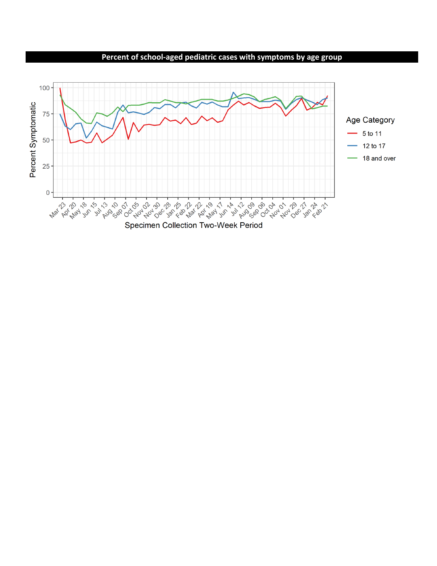**Percent of school-aged pediatric cases with symptoms by age group**

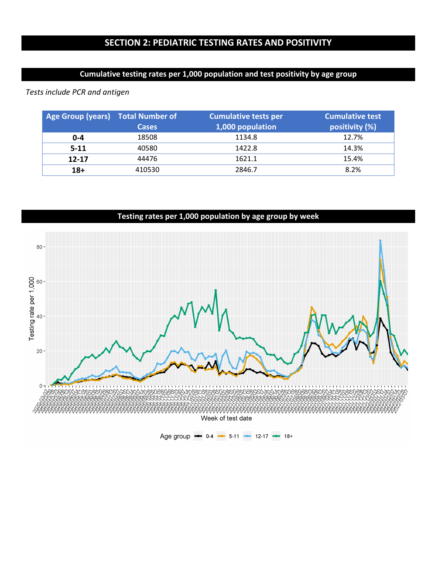### **Cumulative testing rates per 1,000 population and test positivity by age group**

*Tests include PCR and antigen* 

| Age Group (years) Total Number of | <b>Cases</b> | <b>Cumulative tests per</b><br>1,000 population | <b>Cumulative test</b><br>positivity (%) |
|-----------------------------------|--------------|-------------------------------------------------|------------------------------------------|
| $0 - 4$                           | 18508        | 1134.8                                          | 12.7%                                    |
| $5-11$                            | 40580        | 1422.8                                          | 14.3%                                    |
| $12 - 17$                         | 44476        | 1621.1                                          | 15.4%                                    |
| $18+$                             | 410530       | 2846.7                                          | 8.2%                                     |



### **Testing rates per 1,000 population by age group by week**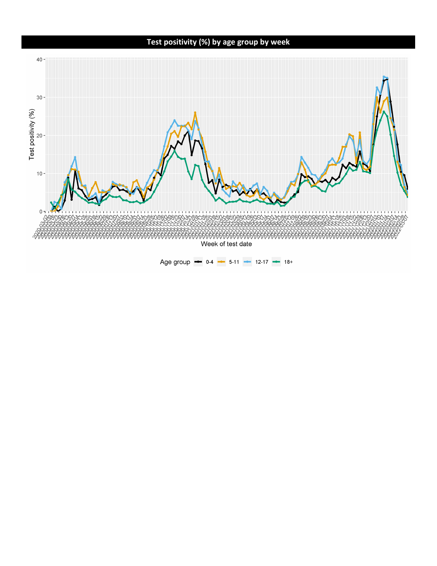## **Test positivity (%) by age group by week**



Age group  $\bullet$  0-4  $\bullet$  5-11  $\bullet$  12-17  $\bullet$  18+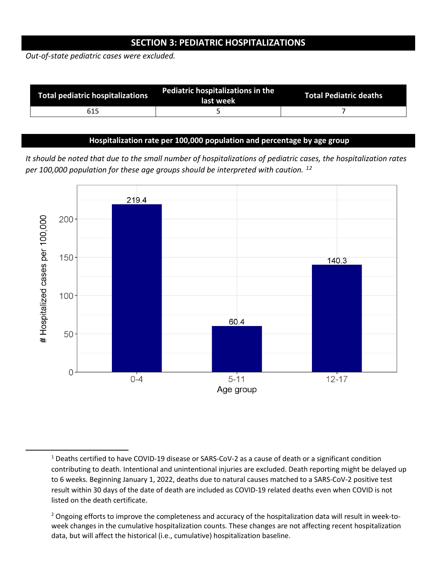### **SECTION 3: PEDIATRIC HOSPITALIZATIONS**

*Out-of-state pediatric cases were excluded.* 

| Total pediatric hospitalizations | Pediatric hospitalizations in the<br>last week | <b>Total Pediatric deaths</b> |
|----------------------------------|------------------------------------------------|-------------------------------|
| 615                              |                                                |                               |

#### **Hospitalization rate per 100,000 population and percentage by age group**

*It should be noted that due to the small number of hospitalizations of pediatric cases, the hospitalization rates per 100,000 population for these age groups should be interpreted with caution. [1](#page-8-0)[2](#page-8-1)*



<span id="page-8-0"></span><sup>1</sup> Deaths certified to have COVID-19 disease or SARS-CoV-2 as a cause of death or a significant condition contributing to death. Intentional and unintentional injuries are excluded. Death reporting might be delayed up to 6 weeks. Beginning January 1, 2022, deaths due to natural causes matched to a SARS-CoV-2 positive test result within 30 days of the date of death are included as COVID-19 related deaths even when COVID is not listed on the death certificate.

<span id="page-8-1"></span><sup>&</sup>lt;sup>2</sup> Ongoing efforts to improve the completeness and accuracy of the hospitalization data will result in week-toweek changes in the cumulative hospitalization counts. These changes are not affecting recent hospitalization data, but will affect the historical (i.e., cumulative) hospitalization baseline.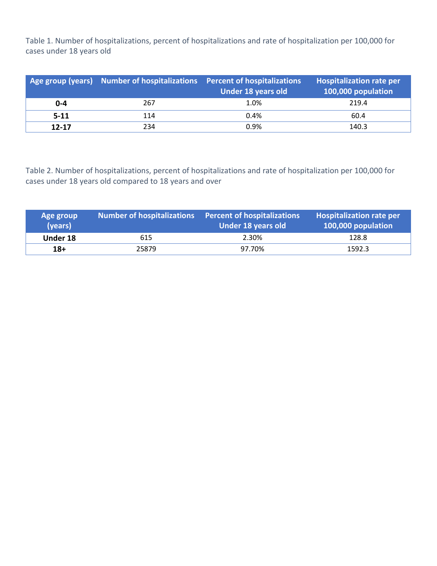Table 1. Number of hospitalizations, percent of hospitalizations and rate of hospitalization per 100,000 for cases under 18 years old

|           | Age group (years) Number of hospitalizations Percent of hospitalizations | Under 18 years old | <b>Hospitalization rate per</b><br>100,000 population |
|-----------|--------------------------------------------------------------------------|--------------------|-------------------------------------------------------|
| $0 - 4$   | 267                                                                      | 1.0%               | 219.4                                                 |
| $5 - 11$  | 114                                                                      | 0.4%               | 60.4                                                  |
| $12 - 17$ | 234                                                                      | 0.9%               | 140.3                                                 |

Table 2. Number of hospitalizations, percent of hospitalizations and rate of hospitalization per 100,000 for cases under 18 years old compared to 18 years and over

| Age group<br>(years) | <b>Number of hospitalizations</b> | Percent of hospitalizations<br>Under 18 years old | <b>Hospitalization rate per</b><br>100,000 population |
|----------------------|-----------------------------------|---------------------------------------------------|-------------------------------------------------------|
| Under 18             | 615                               | 2.30%                                             | 128.8                                                 |
| $18+$                | 25879                             | 97.70%                                            | 1592.3                                                |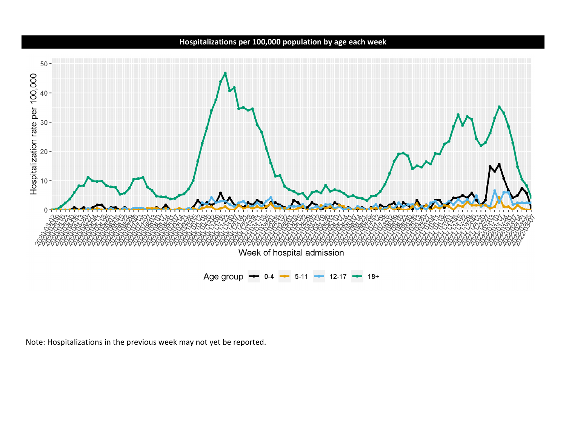## **Hospitalizations per 100,000 population by age each week**



Note: Hospitalizations in the previous week may not yet be reported.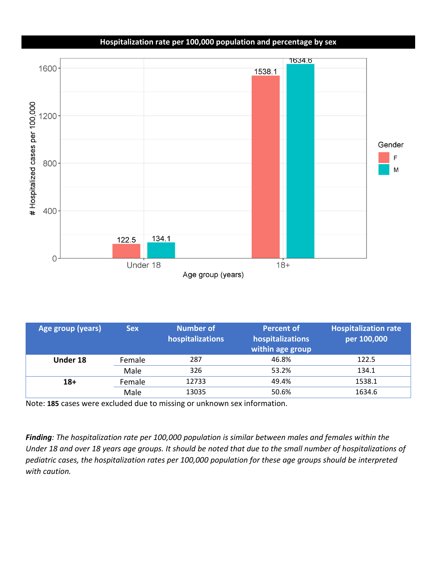## **Hospitalization rate per 100,000 population and percentage by sex**



| Age group (years) | <b>Sex</b> | Number of<br>hospitalizations | <b>Percent of</b><br>hospitalizations<br>within age group | <b>Hospitalization rate</b><br>per 100,000 |
|-------------------|------------|-------------------------------|-----------------------------------------------------------|--------------------------------------------|
| Under 18          | Female     | 287                           | 46.8%                                                     | 122.5                                      |
|                   | Male       | 326                           | 53.2%                                                     | 134.1                                      |
| $18+$             | Female     | 12733                         | 49.4%                                                     | 1538.1                                     |
|                   | Male       | 13035                         | 50.6%                                                     | 1634.6                                     |

Note: **185** cases were excluded due to missing or unknown sex information.

*Finding: The hospitalization rate per 100,000 population is similar between males and females within the Under 18 and over 18 years age groups. It should be noted that due to the small number of hospitalizations of pediatric cases, the hospitalization rates per 100,000 population for these age groups should be interpreted with caution.*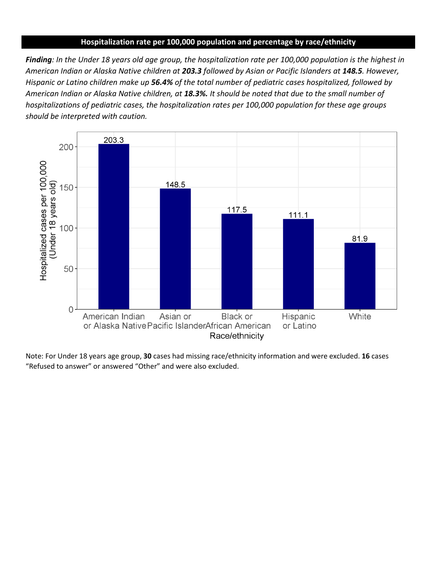#### **Hospitalization rate per 100,000 population and percentage by race/ethnicity**

*Finding: In the Under 18 years old age group, the hospitalization rate per 100,000 population is the highest in American Indian or Alaska Native children at 203.3 followed by Asian or Pacific Islanders at 148.5. However, Hispanic or Latino children make up 56.4% of the total number of pediatric cases hospitalized, followed by American Indian or Alaska Native children, at 18.3%. It should be noted that due to the small number of hospitalizations of pediatric cases, the hospitalization rates per 100,000 population for these age groups should be interpreted with caution.*



Note: For Under 18 years age group, **30** cases had missing race/ethnicity information and were excluded. **16** cases "Refused to answer" or answered "Other" and were also excluded.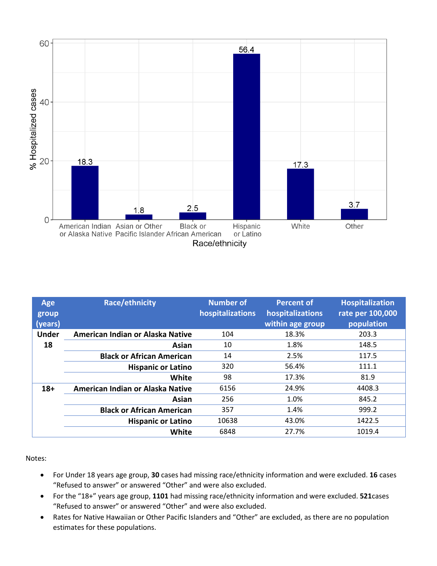

| <b>Age</b><br>group<br>(years) | Race/ethnicity                   | <b>Number of</b><br>hospitalizations | <b>Percent of</b><br>hospitalizations<br>within age group | <b>Hospitalization</b><br>rate per 100,000<br>population |
|--------------------------------|----------------------------------|--------------------------------------|-----------------------------------------------------------|----------------------------------------------------------|
| <b>Under</b>                   | American Indian or Alaska Native | 104                                  | 18.3%                                                     | 203.3                                                    |
| 18                             | Asian                            | 10                                   | 1.8%                                                      | 148.5                                                    |
|                                | <b>Black or African American</b> | 14                                   | 2.5%                                                      | 117.5                                                    |
|                                | <b>Hispanic or Latino</b>        | 320                                  | 56.4%                                                     | 111.1                                                    |
|                                | <b>White</b>                     | 98                                   | 17.3%                                                     | 81.9                                                     |
| $18+$                          | American Indian or Alaska Native | 6156                                 | 24.9%                                                     | 4408.3                                                   |
|                                | Asian                            | 256                                  | 1.0%                                                      | 845.2                                                    |
|                                | <b>Black or African American</b> | 357                                  | 1.4%                                                      | 999.2                                                    |
|                                | <b>Hispanic or Latino</b>        | 10638                                | 43.0%                                                     | 1422.5                                                   |
|                                | White                            | 6848                                 | 27.7%                                                     | 1019.4                                                   |

Notes:

- For Under 18 years age group, **30** cases had missing race/ethnicity information and were excluded. **16** cases "Refused to answer" or answered "Other" and were also excluded.
- For the "18+" years age group, **1101** had missing race/ethnicity information and were excluded. **521**cases "Refused to answer" or answered "Other" and were also excluded.
- Rates for Native Hawaiian or Other Pacific Islanders and "Other" are excluded, as there are no population estimates for these populations.